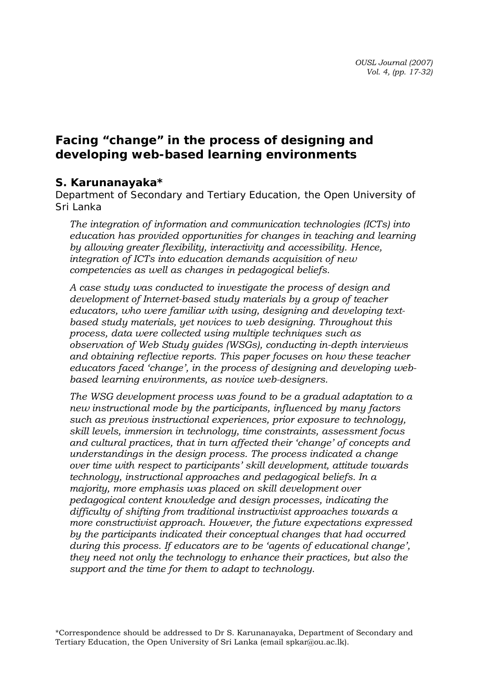# **Facing "change" in the process of designing and developing web-based learning environments**

### *S. Karunanayaka\**

*Department of Secondary and Tertiary Education, the Open University of Sri Lanka* 

*The integration of information and communication technologies (ICTs) into education has provided opportunities for changes in teaching and learning by allowing greater flexibility, interactivity and accessibility. Hence, integration of ICTs into education demands acquisition of new competencies as well as changes in pedagogical beliefs.* 

*A case study was conducted to investigate the process of design and development of Internet-based study materials by a group of teacher educators, who were familiar with using, designing and developing textbased study materials, yet novices to web designing. Throughout this process, data were collected using multiple techniques such as observation of Web Study guides (WSGs), conducting in-depth interviews and obtaining reflective reports. This paper focuses on how these teacher educators faced 'change', in the process of designing and developing webbased learning environments, as novice web-designers.* 

*The WSG development process was found to be a gradual adaptation to a new instructional mode by the participants, influenced by many factors such as previous instructional experiences, prior exposure to technology, skill levels, immersion in technology, time constraints, assessment focus and cultural practices, that in turn affected their 'change' of concepts and understandings in the design process. The process indicated a change over time with respect to participants' skill development, attitude towards technology, instructional approaches and pedagogical beliefs. In a majority, more emphasis was placed on skill development over pedagogical content knowledge and design processes, indicating the difficulty of shifting from traditional instructivist approaches towards a more constructivist approach. However, the future expectations expressed by the participants indicated their conceptual changes that had occurred during this process. If educators are to be 'agents of educational change', they need not only the technology to enhance their practices, but also the support and the time for them to adapt to technology.* 

\*Correspondence should be addressed to Dr S. Karunanayaka, Department of Secondary and Tertiary Education, the Open University of Sri Lanka (email spkar@ou.ac.lk).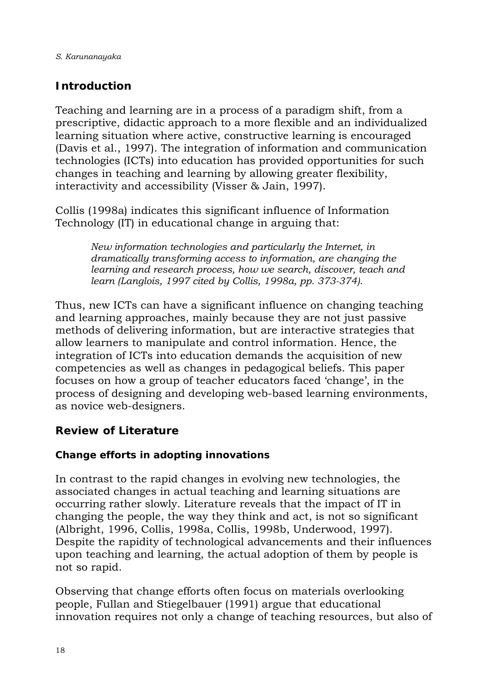# **Introduction**

Teaching and learning are in a process of a paradigm shift, from a prescriptive, didactic approach to a more flexible and an individualized learning situation where active, constructive learning is encouraged (Davis et al., 1997). The integration of information and communication technologies (ICTs) into education has provided opportunities for such changes in teaching and learning by allowing greater flexibility, interactivity and accessibility (Visser & Jain, 1997).

Collis (1998a) indicates this significant influence of Information Technology (IT) in educational change in arguing that:

> *New information technologies and particularly the Internet, in dramatically transforming access to information, are changing the learning and research process, how we search, discover, teach and learn (Langlois, 1997 cited by Collis, 1998a, pp. 373-374).*

Thus, new ICTs can have a significant influence on changing teaching and learning approaches, mainly because they are not just passive methods of delivering information, but are interactive strategies that allow learners to manipulate and control information. Hence, the integration of ICTs into education demands the acquisition of new competencies as well as changes in pedagogical beliefs. This paper focuses on how a group of teacher educators faced 'change', in the process of designing and developing web-based learning environments, as novice web-designers.

## **Review of Literature**

## **Change efforts in adopting innovations**

In contrast to the rapid changes in evolving new technologies, the associated changes in actual teaching and learning situations are occurring rather slowly. Literature reveals that the impact of IT in changing the people, the way they think and act, is not so significant (Albright, 1996, Collis, 1998a, Collis, 1998b, Underwood, 1997). Despite the rapidity of technological advancements and their influences upon teaching and learning, the actual adoption of them by people is not so rapid.

Observing that change efforts often focus on materials overlooking people, Fullan and Stiegelbauer (1991) argue that educational innovation requires not only a change of teaching resources, but also of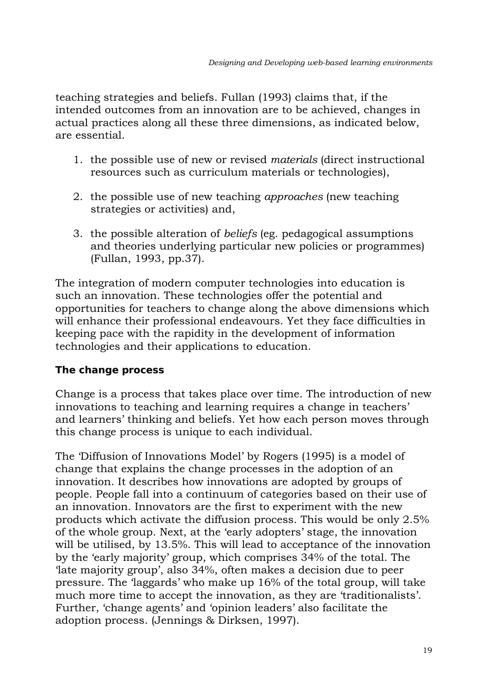teaching strategies and beliefs. Fullan (1993) claims that, if the intended outcomes from an innovation are to be achieved, changes in actual practices along all these three dimensions, as indicated below, are essential.

- 1. the possible use of new or revised *materials* (direct instructional resources such as curriculum materials or technologies),
- 2. the possible use of new teaching *approaches* (new teaching strategies or activities) and,
- 3. the possible alteration of *beliefs* (eg. pedagogical assumptions and theories underlying particular new policies or programmes) (Fullan, 1993, pp.37).

The integration of modern computer technologies into education is such an innovation. These technologies offer the potential and opportunities for teachers to change along the above dimensions which will enhance their professional endeavours. Yet they face difficulties in keeping pace with the rapidity in the development of information technologies and their applications to education.

### **The change process**

Change is a process that takes place over time. The introduction of new innovations to teaching and learning requires a change in teachers' and learners' thinking and beliefs. Yet how each person moves through this change process is unique to each individual.

The 'Diffusion of Innovations Model' by Rogers (1995) is a model of change that explains the change processes in the adoption of an innovation. It describes how innovations are adopted by groups of people. People fall into a continuum of categories based on their use of an innovation. Innovators are the first to experiment with the new products which activate the diffusion process. This would be only 2.5% of the whole group. Next, at the 'early adopters' stage, the innovation will be utilised, by 13.5%. This will lead to acceptance of the innovation by the 'early majority' group, which comprises 34% of the total. The 'late majority group', also 34%, often makes a decision due to peer pressure. The 'laggards' who make up 16% of the total group, will take much more time to accept the innovation, as they are 'traditionalists'. Further, 'change agents' and 'opinion leaders' also facilitate the adoption process. (Jennings & Dirksen, 1997).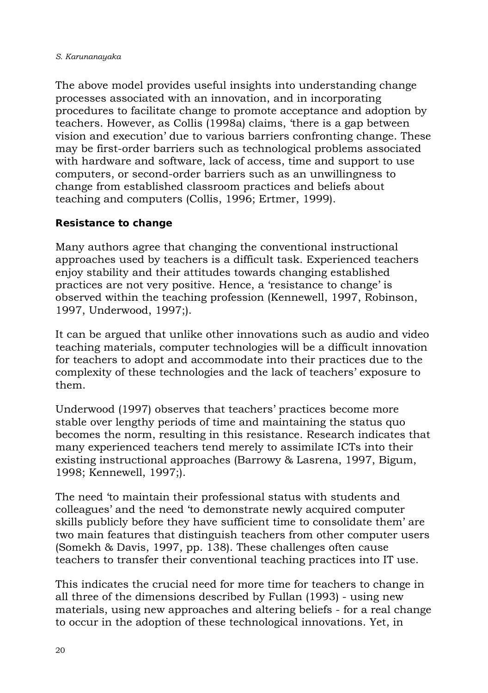The above model provides useful insights into understanding change processes associated with an innovation, and in incorporating procedures to facilitate change to promote acceptance and adoption by teachers. However, as Collis (1998a) claims, 'there is a gap between vision and execution' due to various barriers confronting change. These may be first-order barriers such as technological problems associated with hardware and software, lack of access, time and support to use computers, or second-order barriers such as an unwillingness to change from established classroom practices and beliefs about teaching and computers (Collis, 1996; Ertmer, 1999).

### **Resistance to change**

Many authors agree that changing the conventional instructional approaches used by teachers is a difficult task. Experienced teachers enjoy stability and their attitudes towards changing established practices are not very positive. Hence, a 'resistance to change' is observed within the teaching profession (Kennewell, 1997, Robinson, 1997, Underwood, 1997;).

It can be argued that unlike other innovations such as audio and video teaching materials, computer technologies will be a difficult innovation for teachers to adopt and accommodate into their practices due to the complexity of these technologies and the lack of teachers' exposure to them.

Underwood (1997) observes that teachers' practices become more stable over lengthy periods of time and maintaining the status quo becomes the norm, resulting in this resistance. Research indicates that many experienced teachers tend merely to assimilate ICTs into their existing instructional approaches (Barrowy & Lasrena, 1997, Bigum, 1998; Kennewell, 1997;).

The need 'to maintain their professional status with students and colleagues' and the need 'to demonstrate newly acquired computer skills publicly before they have sufficient time to consolidate them' are two main features that distinguish teachers from other computer users (Somekh & Davis, 1997, pp. 138). These challenges often cause teachers to transfer their conventional teaching practices into IT use.

This indicates the crucial need for more time for teachers to change in all three of the dimensions described by Fullan (1993) - using new materials, using new approaches and altering beliefs - for a real change to occur in the adoption of these technological innovations. Yet, in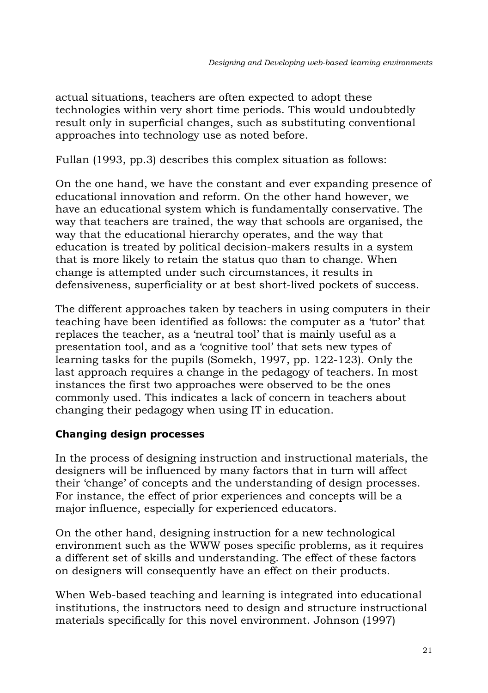actual situations, teachers are often expected to adopt these technologies within very short time periods. This would undoubtedly result only in superficial changes, such as substituting conventional approaches into technology use as noted before.

Fullan (1993, pp.3) describes this complex situation as follows:

On the one hand, we have the constant and ever expanding presence of educational innovation and reform. On the other hand however, we have an educational system which is fundamentally conservative. The way that teachers are trained, the way that schools are organised, the way that the educational hierarchy operates, and the way that education is treated by political decision-makers results in a system that is more likely to retain the status quo than to change. When change is attempted under such circumstances, it results in defensiveness, superficiality or at best short-lived pockets of success.

The different approaches taken by teachers in using computers in their teaching have been identified as follows: the computer as a 'tutor' that replaces the teacher, as a 'neutral tool' that is mainly useful as a presentation tool, and as a 'cognitive tool' that sets new types of learning tasks for the pupils (Somekh, 1997, pp. 122-123). Only the last approach requires a change in the pedagogy of teachers. In most instances the first two approaches were observed to be the ones commonly used. This indicates a lack of concern in teachers about changing their pedagogy when using IT in education.

### **Changing design processes**

In the process of designing instruction and instructional materials, the designers will be influenced by many factors that in turn will affect their 'change' of concepts and the understanding of design processes. For instance, the effect of prior experiences and concepts will be a major influence, especially for experienced educators.

On the other hand, designing instruction for a new technological environment such as the WWW poses specific problems, as it requires a different set of skills and understanding. The effect of these factors on designers will consequently have an effect on their products.

When Web-based teaching and learning is integrated into educational institutions, the instructors need to design and structure instructional materials specifically for this novel environment. Johnson (1997)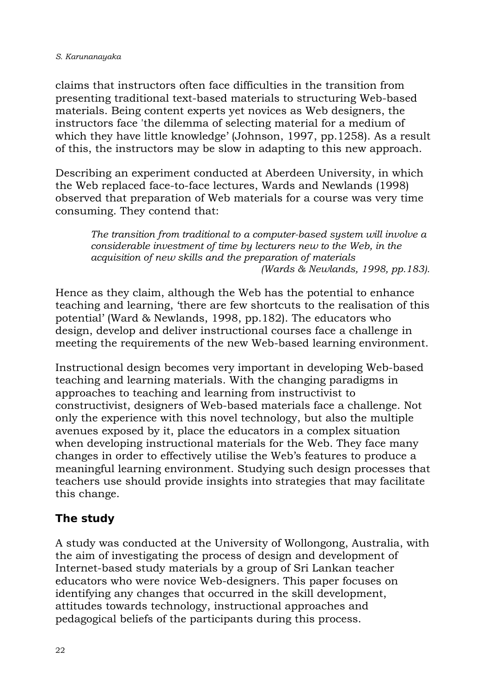claims that instructors often face difficulties in the transition from presenting traditional text-based materials to structuring Web-based materials. Being content experts yet novices as Web designers, the instructors face 'the dilemma of selecting material for a medium of which they have little knowledge' (Johnson, 1997, pp.1258). As a result of this, the instructors may be slow in adapting to this new approach.

Describing an experiment conducted at Aberdeen University, in which the Web replaced face-to-face lectures, Wards and Newlands (1998) observed that preparation of Web materials for a course was very time consuming. They contend that:

*The transition from traditional to a computer-based system will involve a considerable investment of time by lecturers new to the Web, in the acquisition of new skills and the preparation of materials (Wards & Newlands, 1998, pp.183).* 

Hence as they claim, although the Web has the potential to enhance teaching and learning, 'there are few shortcuts to the realisation of this potential' (Ward & Newlands, 1998, pp.182). The educators who design, develop and deliver instructional courses face a challenge in meeting the requirements of the new Web-based learning environment.

Instructional design becomes very important in developing Web-based teaching and learning materials. With the changing paradigms in approaches to teaching and learning from instructivist to constructivist, designers of Web-based materials face a challenge. Not only the experience with this novel technology, but also the multiple avenues exposed by it, place the educators in a complex situation when developing instructional materials for the Web. They face many changes in order to effectively utilise the Web's features to produce a meaningful learning environment. Studying such design processes that teachers use should provide insights into strategies that may facilitate this change.

## **The study**

A study was conducted at the University of Wollongong, Australia, with the aim of investigating the process of design and development of Internet-based study materials by a group of Sri Lankan teacher educators who were novice Web-designers. This paper focuses on identifying any changes that occurred in the skill development, attitudes towards technology, instructional approaches and pedagogical beliefs of the participants during this process.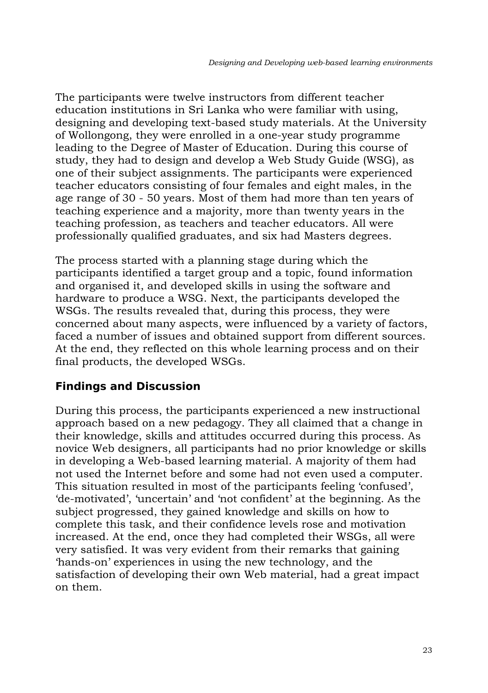The participants were twelve instructors from different teacher education institutions in Sri Lanka who were familiar with using, designing and developing text-based study materials. At the University of Wollongong, they were enrolled in a one-year study programme leading to the Degree of Master of Education. During this course of study, they had to design and develop a Web Study Guide (WSG), as one of their subject assignments. The participants were experienced teacher educators consisting of four females and eight males, in the age range of 30 - 50 years. Most of them had more than ten years of teaching experience and a majority, more than twenty years in the teaching profession, as teachers and teacher educators. All were professionally qualified graduates, and six had Masters degrees.

The process started with a planning stage during which the participants identified a target group and a topic, found information and organised it, and developed skills in using the software and hardware to produce a WSG. Next, the participants developed the WSGs. The results revealed that, during this process, they were concerned about many aspects, were influenced by a variety of factors, faced a number of issues and obtained support from different sources. At the end, they reflected on this whole learning process and on their final products, the developed WSGs.

### **Findings and Discussion**

During this process, the participants experienced a new instructional approach based on a new pedagogy. They all claimed that a change in their knowledge, skills and attitudes occurred during this process. As novice Web designers, all participants had no prior knowledge or skills in developing a Web-based learning material. A majority of them had not used the Internet before and some had not even used a computer. This situation resulted in most of the participants feeling 'confused', 'de-motivated', 'uncertain' and 'not confident' at the beginning. As the subject progressed, they gained knowledge and skills on how to complete this task, and their confidence levels rose and motivation increased. At the end, once they had completed their WSGs, all were very satisfied. It was very evident from their remarks that gaining 'hands-on' experiences in using the new technology, and the satisfaction of developing their own Web material, had a great impact on them.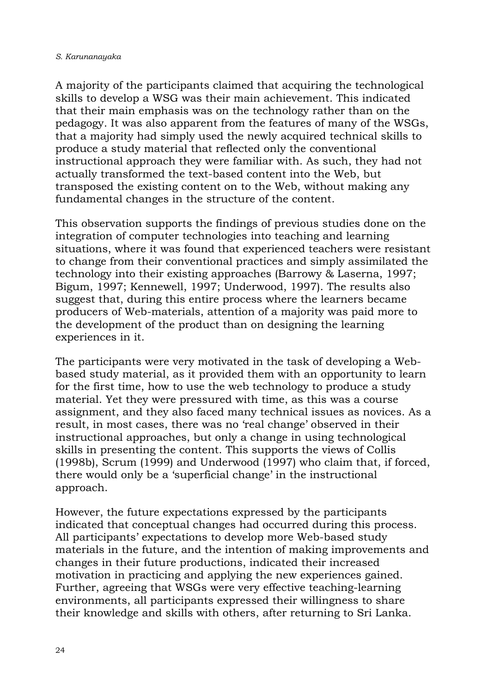A majority of the participants claimed that acquiring the technological skills to develop a WSG was their main achievement. This indicated that their main emphasis was on the technology rather than on the pedagogy. It was also apparent from the features of many of the WSGs, that a majority had simply used the newly acquired technical skills to produce a study material that reflected only the conventional instructional approach they were familiar with. As such, they had not actually transformed the text-based content into the Web, but transposed the existing content on to the Web, without making any fundamental changes in the structure of the content.

This observation supports the findings of previous studies done on the integration of computer technologies into teaching and learning situations, where it was found that experienced teachers were resistant to change from their conventional practices and simply assimilated the technology into their existing approaches (Barrowy & Laserna, 1997; Bigum, 1997; Kennewell, 1997; Underwood, 1997). The results also suggest that, during this entire process where the learners became producers of Web-materials, attention of a majority was paid more to the development of the product than on designing the learning experiences in it.

The participants were very motivated in the task of developing a Webbased study material, as it provided them with an opportunity to learn for the first time, how to use the web technology to produce a study material. Yet they were pressured with time, as this was a course assignment, and they also faced many technical issues as novices. As a result, in most cases, there was no 'real change' observed in their instructional approaches, but only a change in using technological skills in presenting the content. This supports the views of Collis (1998b), Scrum (1999) and Underwood (1997) who claim that, if forced, there would only be a 'superficial change' in the instructional approach.

However, the future expectations expressed by the participants indicated that conceptual changes had occurred during this process. All participants' expectations to develop more Web-based study materials in the future, and the intention of making improvements and changes in their future productions, indicated their increased motivation in practicing and applying the new experiences gained. Further, agreeing that WSGs were very effective teaching-learning environments, all participants expressed their willingness to share their knowledge and skills with others, after returning to Sri Lanka.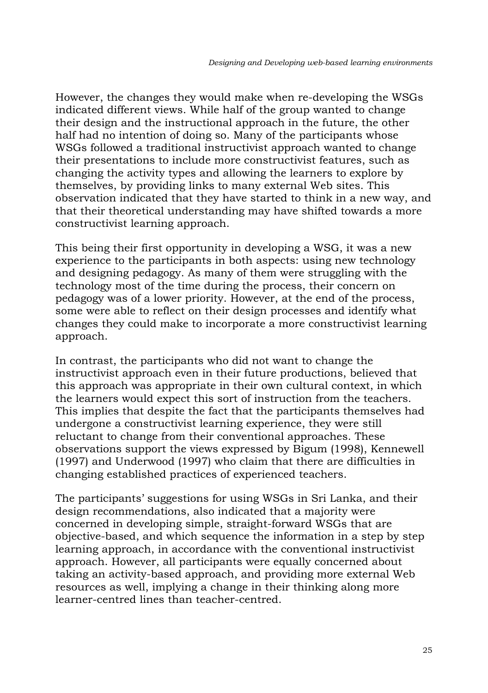However, the changes they would make when re-developing the WSGs indicated different views. While half of the group wanted to change their design and the instructional approach in the future, the other half had no intention of doing so. Many of the participants whose WSGs followed a traditional instructivist approach wanted to change their presentations to include more constructivist features, such as changing the activity types and allowing the learners to explore by themselves, by providing links to many external Web sites. This observation indicated that they have started to think in a new way, and that their theoretical understanding may have shifted towards a more constructivist learning approach.

This being their first opportunity in developing a WSG, it was a new experience to the participants in both aspects: using new technology and designing pedagogy. As many of them were struggling with the technology most of the time during the process, their concern on pedagogy was of a lower priority. However, at the end of the process, some were able to reflect on their design processes and identify what changes they could make to incorporate a more constructivist learning approach.

In contrast, the participants who did not want to change the instructivist approach even in their future productions, believed that this approach was appropriate in their own cultural context, in which the learners would expect this sort of instruction from the teachers. This implies that despite the fact that the participants themselves had undergone a constructivist learning experience, they were still reluctant to change from their conventional approaches. These observations support the views expressed by Bigum (1998), Kennewell (1997) and Underwood (1997) who claim that there are difficulties in changing established practices of experienced teachers.

The participants' suggestions for using WSGs in Sri Lanka, and their design recommendations, also indicated that a majority were concerned in developing simple, straight-forward WSGs that are objective-based, and which sequence the information in a step by step learning approach, in accordance with the conventional instructivist approach. However, all participants were equally concerned about taking an activity-based approach, and providing more external Web resources as well, implying a change in their thinking along more learner-centred lines than teacher-centred.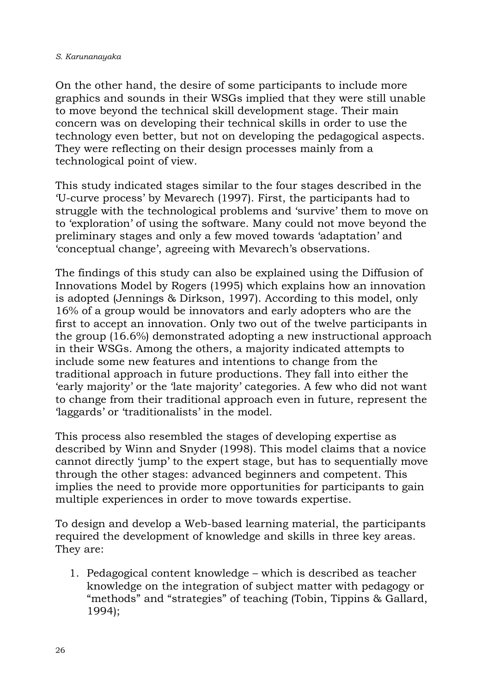On the other hand, the desire of some participants to include more graphics and sounds in their WSGs implied that they were still unable to move beyond the technical skill development stage. Their main concern was on developing their technical skills in order to use the technology even better, but not on developing the pedagogical aspects. They were reflecting on their design processes mainly from a technological point of view.

This study indicated stages similar to the four stages described in the 'U-curve process' by Mevarech (1997). First, the participants had to struggle with the technological problems and 'survive' them to move on to 'exploration' of using the software. Many could not move beyond the preliminary stages and only a few moved towards 'adaptation' and 'conceptual change', agreeing with Mevarech's observations.

The findings of this study can also be explained using the Diffusion of Innovations Model by Rogers (1995) which explains how an innovation is adopted (Jennings & Dirkson, 1997). According to this model, only 16% of a group would be innovators and early adopters who are the first to accept an innovation. Only two out of the twelve participants in the group (16.6%) demonstrated adopting a new instructional approach in their WSGs. Among the others, a majority indicated attempts to include some new features and intentions to change from the traditional approach in future productions. They fall into either the 'early majority' or the 'late majority' categories. A few who did not want to change from their traditional approach even in future, represent the 'laggards' or 'traditionalists' in the model.

This process also resembled the stages of developing expertise as described by Winn and Snyder (1998). This model claims that a novice cannot directly 'jump' to the expert stage, but has to sequentially move through the other stages: advanced beginners and competent. This implies the need to provide more opportunities for participants to gain multiple experiences in order to move towards expertise.

To design and develop a Web-based learning material, the participants required the development of knowledge and skills in three key areas. They are:

1. Pedagogical content knowledge – which is described as teacher knowledge on the integration of subject matter with pedagogy or "methods" and "strategies" of teaching (Tobin, Tippins & Gallard, 1994);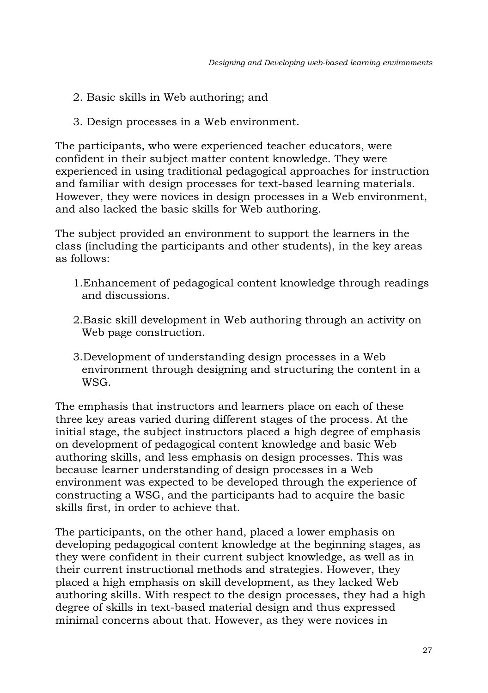- 2. Basic skills in Web authoring; and
- 3. Design processes in a Web environment.

The participants, who were experienced teacher educators, were confident in their subject matter content knowledge. They were experienced in using traditional pedagogical approaches for instruction and familiar with design processes for text-based learning materials. However, they were novices in design processes in a Web environment, and also lacked the basic skills for Web authoring.

The subject provided an environment to support the learners in the class (including the participants and other students), in the key areas as follows:

- 1.Enhancement of pedagogical content knowledge through readings and discussions.
- 2.Basic skill development in Web authoring through an activity on Web page construction.
- 3.Development of understanding design processes in a Web environment through designing and structuring the content in a WSG.

The emphasis that instructors and learners place on each of these three key areas varied during different stages of the process. At the initial stage, the subject instructors placed a high degree of emphasis on development of pedagogical content knowledge and basic Web authoring skills, and less emphasis on design processes. This was because learner understanding of design processes in a Web environment was expected to be developed through the experience of constructing a WSG, and the participants had to acquire the basic skills first, in order to achieve that.

The participants, on the other hand, placed a lower emphasis on developing pedagogical content knowledge at the beginning stages, as they were confident in their current subject knowledge, as well as in their current instructional methods and strategies. However, they placed a high emphasis on skill development, as they lacked Web authoring skills. With respect to the design processes, they had a high degree of skills in text-based material design and thus expressed minimal concerns about that. However, as they were novices in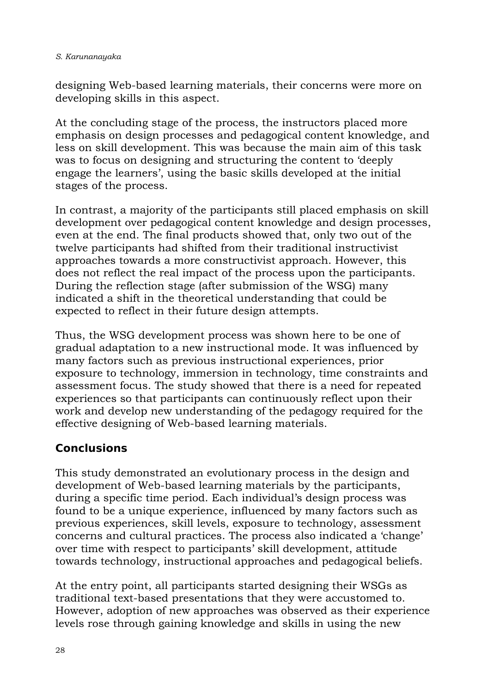designing Web-based learning materials, their concerns were more on developing skills in this aspect.

At the concluding stage of the process, the instructors placed more emphasis on design processes and pedagogical content knowledge, and less on skill development. This was because the main aim of this task was to focus on designing and structuring the content to 'deeply engage the learners', using the basic skills developed at the initial stages of the process.

In contrast, a majority of the participants still placed emphasis on skill development over pedagogical content knowledge and design processes, even at the end. The final products showed that, only two out of the twelve participants had shifted from their traditional instructivist approaches towards a more constructivist approach. However, this does not reflect the real impact of the process upon the participants. During the reflection stage (after submission of the WSG) many indicated a shift in the theoretical understanding that could be expected to reflect in their future design attempts.

Thus, the WSG development process was shown here to be one of gradual adaptation to a new instructional mode. It was influenced by many factors such as previous instructional experiences, prior exposure to technology, immersion in technology, time constraints and assessment focus. The study showed that there is a need for repeated experiences so that participants can continuously reflect upon their work and develop new understanding of the pedagogy required for the effective designing of Web-based learning materials.

## **Conclusions**

This study demonstrated an evolutionary process in the design and development of Web-based learning materials by the participants, during a specific time period. Each individual's design process was found to be a unique experience, influenced by many factors such as previous experiences, skill levels, exposure to technology, assessment concerns and cultural practices. The process also indicated a 'change' over time with respect to participants' skill development, attitude towards technology, instructional approaches and pedagogical beliefs.

At the entry point, all participants started designing their WSGs as traditional text-based presentations that they were accustomed to. However, adoption of new approaches was observed as their experience levels rose through gaining knowledge and skills in using the new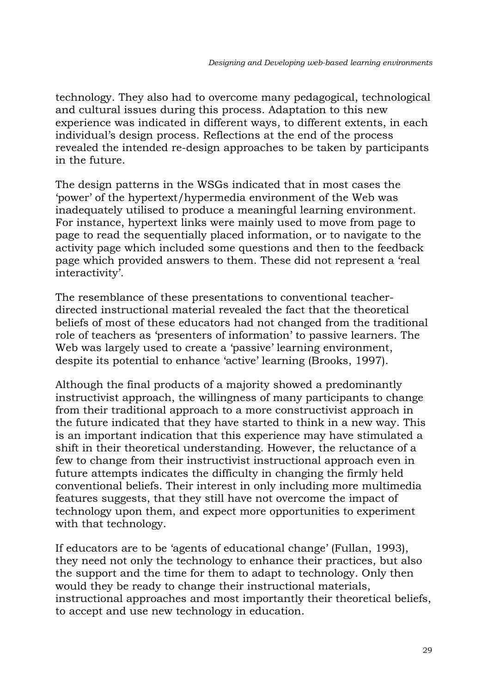technology. They also had to overcome many pedagogical, technological and cultural issues during this process. Adaptation to this new experience was indicated in different ways, to different extents, in each individual's design process. Reflections at the end of the process revealed the intended re-design approaches to be taken by participants in the future.

The design patterns in the WSGs indicated that in most cases the 'power' of the hypertext/hypermedia environment of the Web was inadequately utilised to produce a meaningful learning environment. For instance, hypertext links were mainly used to move from page to page to read the sequentially placed information, or to navigate to the activity page which included some questions and then to the feedback page which provided answers to them. These did not represent a 'real interactivity'.

The resemblance of these presentations to conventional teacherdirected instructional material revealed the fact that the theoretical beliefs of most of these educators had not changed from the traditional role of teachers as 'presenters of information' to passive learners. The Web was largely used to create a 'passive' learning environment, despite its potential to enhance 'active' learning (Brooks, 1997).

Although the final products of a majority showed a predominantly instructivist approach, the willingness of many participants to change from their traditional approach to a more constructivist approach in the future indicated that they have started to think in a new way. This is an important indication that this experience may have stimulated a shift in their theoretical understanding. However, the reluctance of a few to change from their instructivist instructional approach even in future attempts indicates the difficulty in changing the firmly held conventional beliefs. Their interest in only including more multimedia features suggests, that they still have not overcome the impact of technology upon them, and expect more opportunities to experiment with that technology.

If educators are to be 'agents of educational change' (Fullan, 1993), they need not only the technology to enhance their practices, but also the support and the time for them to adapt to technology. Only then would they be ready to change their instructional materials, instructional approaches and most importantly their theoretical beliefs, to accept and use new technology in education.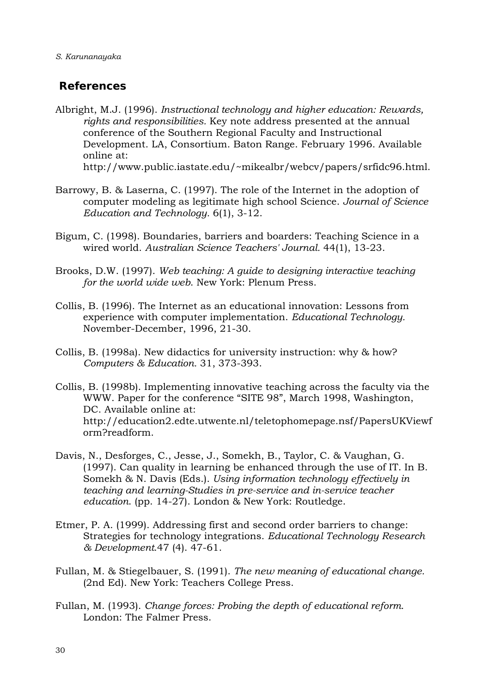### **References**

- Albright, M.J. (1996). *Instructional technology and higher education: Rewards, rights and responsibilities.* Key note address presented at the annual conference of the Southern Regional Faculty and Instructional Development. LA, Consortium. Baton Range. February 1996. Available online at: http://www.public.iastate.edu/~mikealbr/webcv/papers/srfidc96.html.
- Barrowy, B. & Laserna, C. (1997). The role of the Internet in the adoption of computer modeling as legitimate high school Science. *Journal of Science Education and Technology.* 6(1), 3-12.
- Bigum, C. (1998). Boundaries, barriers and boarders: Teaching Science in a wired world. *Australian Science Teachers' Journal.* 44(1), 13-23.
- Brooks, D.W. (1997). *Web teaching: A guide to designing interactive teaching for the world wide web*. New York: Plenum Press.
- Collis, B. (1996). The Internet as an educational innovation: Lessons from experience with computer implementation. *Educational Technology.*  November-December, 1996, 21-30.
- Collis, B. (1998a). New didactics for university instruction: why & how? *Computers & Education.* 31, 373-393.
- Collis, B. (1998b). Implementing innovative teaching across the faculty via the WWW. Paper for the conference "SITE 98", March 1998, Washington, DC. Available online at: http://education2.edte.utwente.nl/teletophomepage.nsf/PapersUKViewf orm?readform.
- Davis, N., Desforges, C., Jesse, J., Somekh, B., Taylor, C. & Vaughan, G. (1997). Can quality in learning be enhanced through the use of IT. In B. Somekh & N. Davis (Eds.). *Using information technology effectively in teaching and learning-Studies in pre-service and in-service teacher education*. (pp. 14-27). London & New York: Routledge.
- Etmer, P. A. (1999). Addressing first and second order barriers to change: Strategies for technology integrations. *Educational Technology Research & Development*.47 (4). 47-61.
- Fullan, M. & Stiegelbauer, S. (1991). *The new meaning of educational change.* (2nd Ed). New York: Teachers College Press.
- Fullan, M. (1993). *Change forces: Probing the depth of educational reform*. London: The Falmer Press.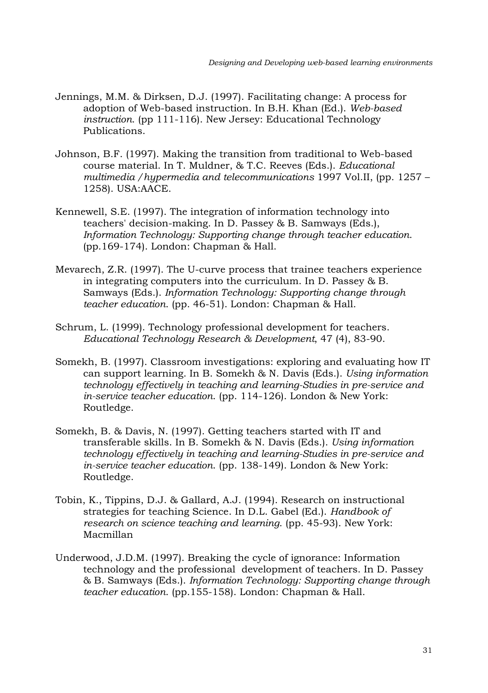- Jennings, M.M. & Dirksen, D.J. (1997). Facilitating change: A process for adoption of Web-based instruction. In B.H. Khan (Ed.). *Web-based instruction*. (pp 111-116). New Jersey: Educational Technology Publications.
- Johnson, B.F. (1997). Making the transition from traditional to Web-based course material. In T. Muldner, & T.C. Reeves (Eds.). *Educational multimedia /hypermedia and telecommunications* 1997 Vol.II, (pp. 1257 – 1258). USA:AACE.
- Kennewell, S.E. (1997). The integration of information technology into teachers' decision-making. In D. Passey & B. Samways (Eds.), *Information Technology: Supporting change through teacher education*. (pp.169-174). London: Chapman & Hall.
- Mevarech, Z.R. (1997). The U-curve process that trainee teachers experience in integrating computers into the curriculum. In D. Passey & B. Samways (Eds.). *Information Technology: Supporting change through teacher education*. (pp. 46-51). London: Chapman & Hall.
- Schrum, L. (1999). Technology professional development for teachers. *Educational Technology Research & Development*, 47 (4), 83-90.
- Somekh, B. (1997). Classroom investigations: exploring and evaluating how IT can support learning. In B. Somekh & N. Davis (Eds.). *Using information technology effectively in teaching and learning-Studies in pre-service and in-service teacher education*. (pp. 114-126). London & New York: Routledge.
- Somekh, B. & Davis, N. (1997). Getting teachers started with IT and transferable skills. In B. Somekh & N. Davis (Eds.). *Using information technology effectively in teaching and learning-Studies in pre-service and in-service teacher education*. (pp. 138-149). London & New York: Routledge.
- Tobin, K., Tippins, D.J. & Gallard, A.J. (1994). Research on instructional strategies for teaching Science. In D.L. Gabel (Ed.). *Handbook of research on science teaching and learning*. (pp. 45-93). New York: Macmillan
- Underwood, J.D.M. (1997). Breaking the cycle of ignorance: Information technology and the professional development of teachers. In D. Passey & B. Samways (Eds.). *Information Technology: Supporting change through teacher education*. (pp.155-158). London: Chapman & Hall.